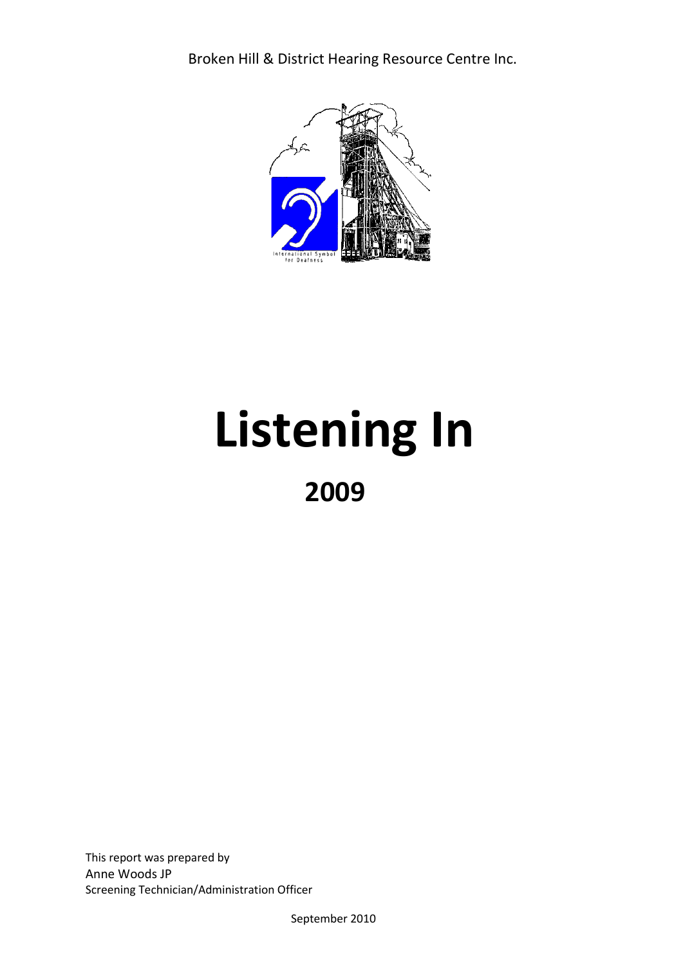Broken Hill & District Hearing Resource Centre Inc.



# **Listening In 2009**

This report was prepared by Anne Woods JP Screening Technician/Administration Officer

September 2010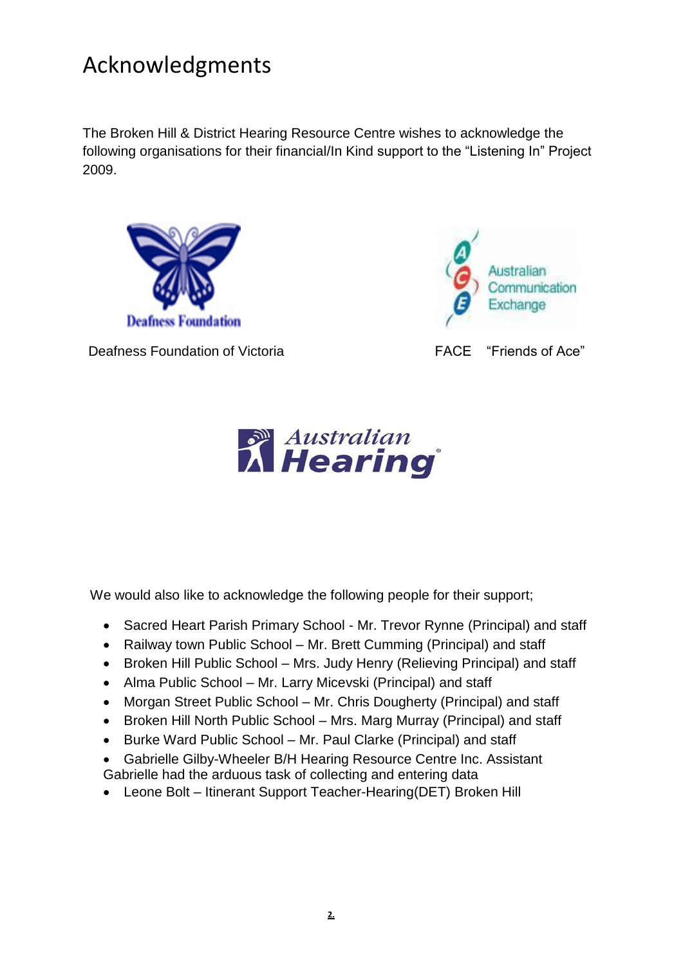# Acknowledgments

The Broken Hill & District Hearing Resource Centre wishes to acknowledge the following organisations for their financial/In Kind support to the "Listening In" Project 2009.



Deafness Foundation of Victoria **FACE** "Friends of Ace"





We would also like to acknowledge the following people for their support;

- Sacred Heart Parish Primary School Mr. Trevor Rynne (Principal) and staff
- Railway town Public School Mr. Brett Cumming (Principal) and staff
- Broken Hill Public School Mrs. Judy Henry (Relieving Principal) and staff
- Alma Public School Mr. Larry Micevski (Principal) and staff
- Morgan Street Public School Mr. Chris Dougherty (Principal) and staff
- Broken Hill North Public School Mrs. Marg Murray (Principal) and staff
- Burke Ward Public School Mr. Paul Clarke (Principal) and staff
- Gabrielle Gilby-Wheeler B/H Hearing Resource Centre Inc. Assistant Gabrielle had the arduous task of collecting and entering data
- Leone Bolt Itinerant Support Teacher-Hearing(DET) Broken Hill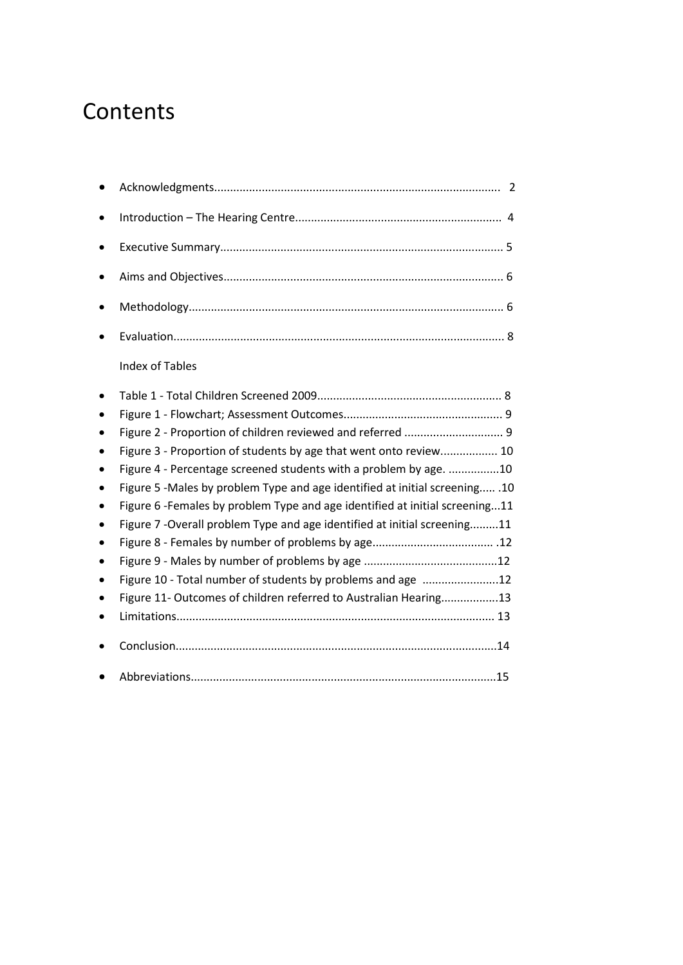### **Contents**

| <b>Index of Tables</b>                                                       |
|------------------------------------------------------------------------------|
|                                                                              |
|                                                                              |
| Figure 2 - Proportion of children reviewed and referred  9                   |
| Figure 3 - Proportion of students by age that went onto review 10            |
| Figure 4 - Percentage screened students with a problem by age. 10            |
| Figure 5 -Males by problem Type and age identified at initial screening .10  |
| Figure 6 - Females by problem Type and age identified at initial screening11 |
| Figure 7 - Overall problem Type and age identified at initial screening11    |
|                                                                              |
|                                                                              |
| Figure 10 - Total number of students by problems and age 12                  |
| Figure 11- Outcomes of children referred to Australian Hearing13             |
|                                                                              |
|                                                                              |
|                                                                              |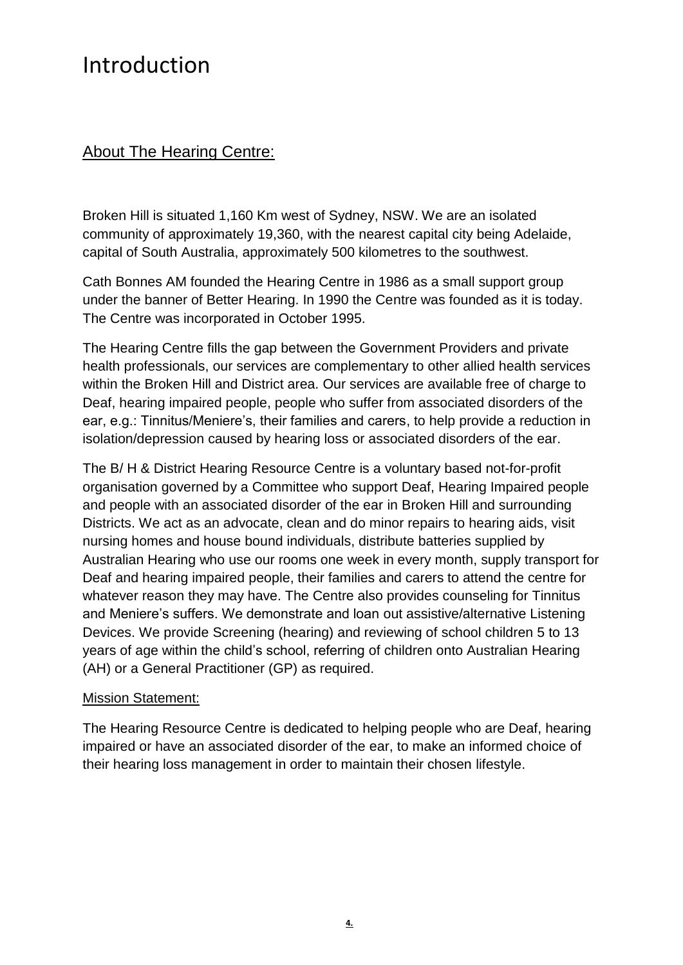### Introduction

### About The Hearing Centre:

Broken Hill is situated 1,160 Km west of Sydney, NSW. We are an isolated community of approximately 19,360, with the nearest capital city being Adelaide, capital of South Australia, approximately 500 kilometres to the southwest.

Cath Bonnes AM founded the Hearing Centre in 1986 as a small support group under the banner of Better Hearing. In 1990 the Centre was founded as it is today. The Centre was incorporated in October 1995.

The Hearing Centre fills the gap between the Government Providers and private health professionals, our services are complementary to other allied health services within the Broken Hill and District area. Our services are available free of charge to Deaf, hearing impaired people, people who suffer from associated disorders of the ear, e.g.: Tinnitus/Meniere's, their families and carers, to help provide a reduction in isolation/depression caused by hearing loss or associated disorders of the ear.

The B/ H & District Hearing Resource Centre is a voluntary based not-for-profit organisation governed by a Committee who support Deaf, Hearing Impaired people and people with an associated disorder of the ear in Broken Hill and surrounding Districts. We act as an advocate, clean and do minor repairs to hearing aids, visit nursing homes and house bound individuals, distribute batteries supplied by Australian Hearing who use our rooms one week in every month, supply transport for Deaf and hearing impaired people, their families and carers to attend the centre for whatever reason they may have. The Centre also provides counseling for Tinnitus and Meniere's suffers. We demonstrate and loan out assistive/alternative Listening Devices. We provide Screening (hearing) and reviewing of school children 5 to 13 years of age within the child's school, referring of children onto Australian Hearing (AH) or a General Practitioner (GP) as required.

#### Mission Statement:

The Hearing Resource Centre is dedicated to helping people who are Deaf, hearing impaired or have an associated disorder of the ear, to make an informed choice of their hearing loss management in order to maintain their chosen lifestyle.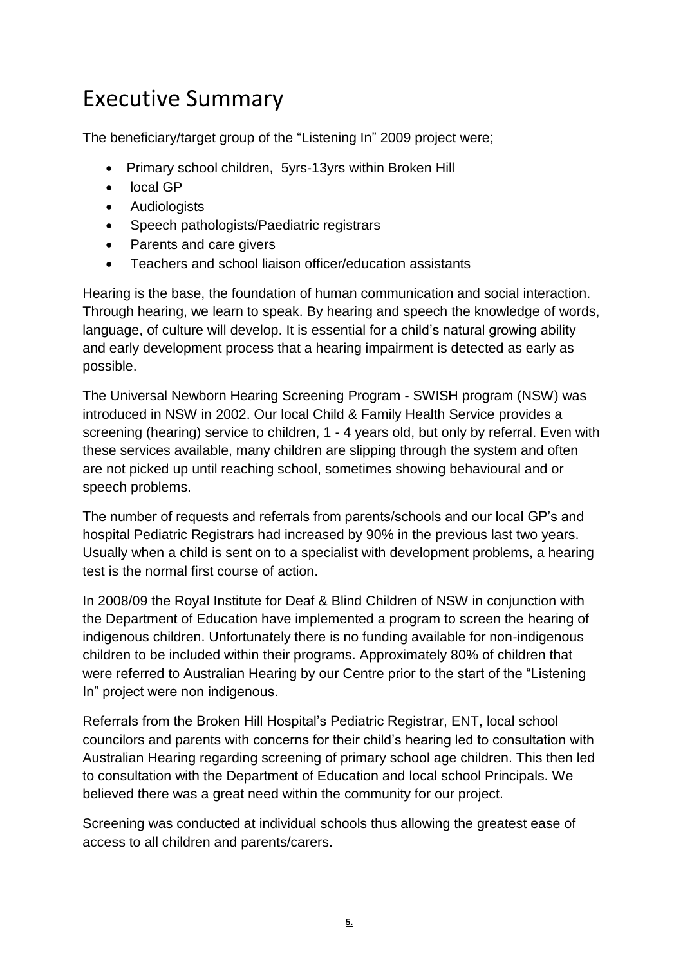## Executive Summary

The beneficiary/target group of the "Listening In" 2009 project were;

- Primary school children, 5yrs-13yrs within Broken Hill
- local GP
- Audiologists
- Speech pathologists/Paediatric registrars
- Parents and care givers
- Teachers and school liaison officer/education assistants

Hearing is the base, the foundation of human communication and social interaction. Through hearing, we learn to speak. By hearing and speech the knowledge of words, language, of culture will develop. It is essential for a child's natural growing ability and early development process that a hearing impairment is detected as early as possible.

The Universal Newborn Hearing Screening Program - SWISH program (NSW) was introduced in NSW in 2002. Our local Child & Family Health Service provides a screening (hearing) service to children, 1 - 4 years old, but only by referral. Even with these services available, many children are slipping through the system and often are not picked up until reaching school, sometimes showing behavioural and or speech problems.

The number of requests and referrals from parents/schools and our local GP's and hospital Pediatric Registrars had increased by 90% in the previous last two years. Usually when a child is sent on to a specialist with development problems, a hearing test is the normal first course of action.

In 2008/09 the Royal Institute for Deaf & Blind Children of NSW in conjunction with the Department of Education have implemented a program to screen the hearing of indigenous children. Unfortunately there is no funding available for non-indigenous children to be included within their programs. Approximately 80% of children that were referred to Australian Hearing by our Centre prior to the start of the "Listening In" project were non indigenous.

Referrals from the Broken Hill Hospital's Pediatric Registrar, ENT, local school councilors and parents with concerns for their child's hearing led to consultation with Australian Hearing regarding screening of primary school age children. This then led to consultation with the Department of Education and local school Principals. We believed there was a great need within the community for our project.

Screening was conducted at individual schools thus allowing the greatest ease of access to all children and parents/carers.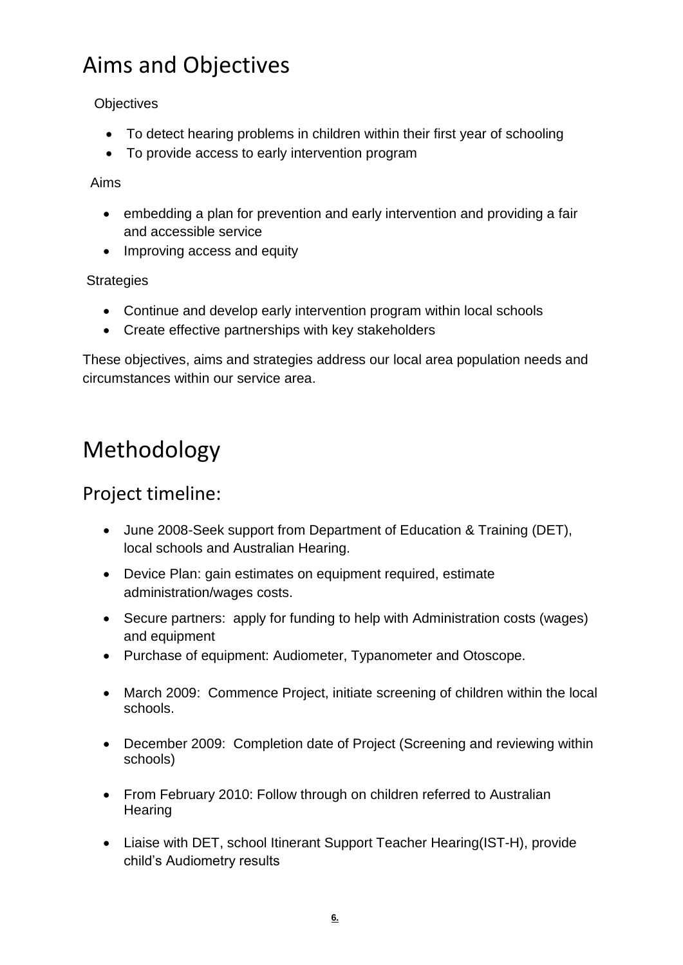# Aims and Objectives

**Objectives** 

- To detect hearing problems in children within their first year of schooling
- To provide access to early intervention program

Aims

- embedding a plan for prevention and early intervention and providing a fair and accessible service
- Improving access and equity

**Strategies** 

- Continue and develop early intervention program within local schools
- Create effective partnerships with key stakeholders

These objectives, aims and strategies address our local area population needs and circumstances within our service area.

# Methodology

### Project timeline:

- June 2008-Seek support from Department of Education & Training (DET), local schools and Australian Hearing.
- Device Plan: gain estimates on equipment required, estimate administration/wages costs.
- Secure partners: apply for funding to help with Administration costs (wages) and equipment
- Purchase of equipment: Audiometer, Typanometer and Otoscope.
- March 2009: Commence Project, initiate screening of children within the local schools.
- December 2009: Completion date of Project (Screening and reviewing within schools)
- From February 2010: Follow through on children referred to Australian **Hearing**
- Liaise with DET, school Itinerant Support Teacher Hearing(IST-H), provide child's Audiometry results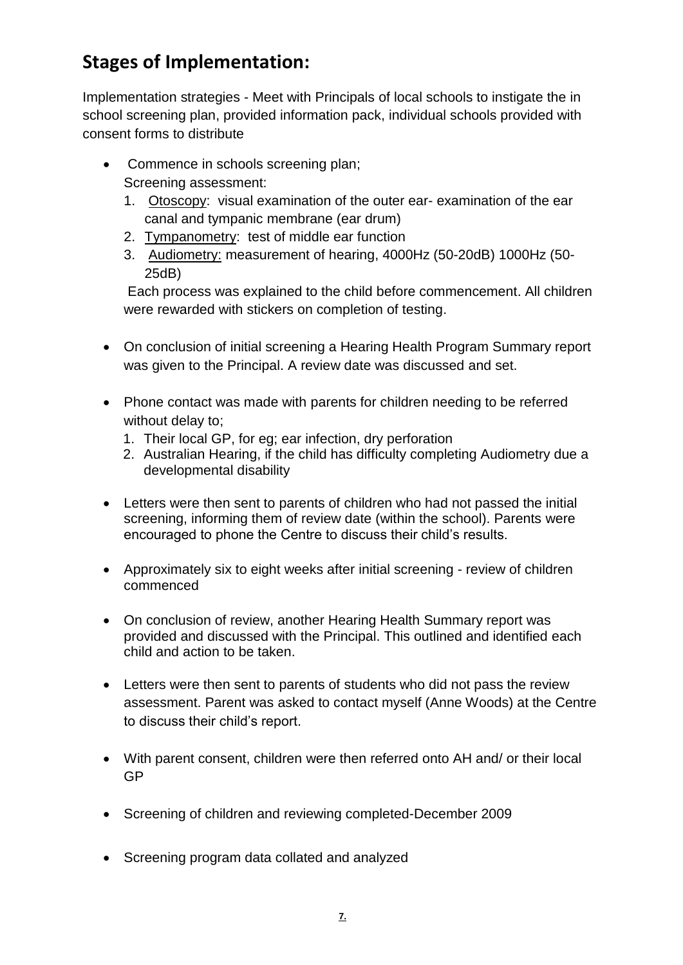### **Stages of Implementation:**

Implementation strategies - Meet with Principals of local schools to instigate the in school screening plan, provided information pack, individual schools provided with consent forms to distribute

- Commence in schools screening plan; Screening assessment:
	- 1. Otoscopy: visual examination of the outer ear- examination of the ear canal and tympanic membrane (ear drum)
	- 2. Tympanometry: test of middle ear function
	- 3. Audiometry: measurement of hearing, 4000Hz (50-20dB) 1000Hz (50- 25dB)

Each process was explained to the child before commencement. All children were rewarded with stickers on completion of testing.

- On conclusion of initial screening a Hearing Health Program Summary report was given to the Principal. A review date was discussed and set.
- Phone contact was made with parents for children needing to be referred without delay to:
	- 1. Their local GP, for eg; ear infection, dry perforation
	- 2. Australian Hearing, if the child has difficulty completing Audiometry due a developmental disability
- Letters were then sent to parents of children who had not passed the initial screening, informing them of review date (within the school). Parents were encouraged to phone the Centre to discuss their child's results.
- Approximately six to eight weeks after initial screening review of children commenced
- On conclusion of review, another Hearing Health Summary report was provided and discussed with the Principal. This outlined and identified each child and action to be taken.
- Letters were then sent to parents of students who did not pass the review assessment. Parent was asked to contact myself (Anne Woods) at the Centre to discuss their child's report.
- With parent consent, children were then referred onto AH and/ or their local GP
- Screening of children and reviewing completed-December 2009
- Screening program data collated and analyzed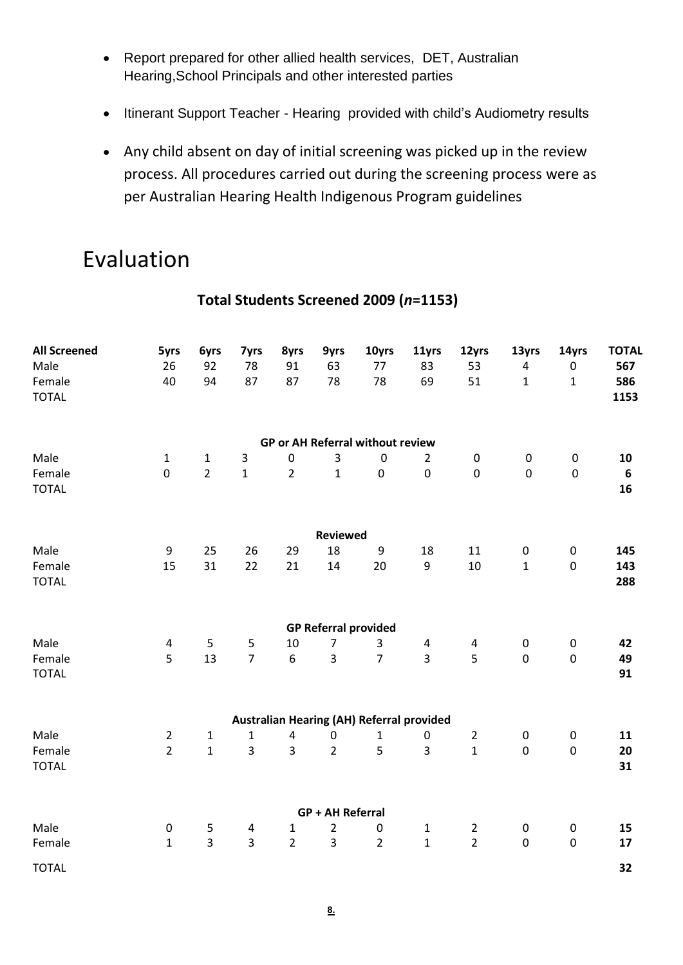- Report prepared for other allied health services, DET, Australian Hearing,School Principals and other interested parties
- Itinerant Support Teacher Hearing provided with child's Audiometry results
- Any child absent on day of initial screening was picked up in the review process. All procedures carried out during the screening process were as per Australian Hearing Health Indigenous Program guidelines

### Evaluation

| <b>All Screened</b><br>Male<br>Female<br><b>TOTAL</b> | 5yrs<br>26<br>40 | <b>6yrs</b><br>92<br>94 | 7yrs<br>78<br>87 | 8yrs<br>91<br>87 | 9yrs<br>63<br>78        | 10yrs<br>77<br>78                                | 11yrs<br>83<br>69 | 12yrs<br>53<br>51 | 13yrs<br>$\pmb{4}$<br>$\mathbf{1}$ | 14yrs<br>$\pmb{0}$<br>$\mathbf{1}$ | <b>TOTAL</b><br>567<br>586<br>1153 |
|-------------------------------------------------------|------------------|-------------------------|------------------|------------------|-------------------------|--------------------------------------------------|-------------------|-------------------|------------------------------------|------------------------------------|------------------------------------|
|                                                       |                  |                         |                  |                  |                         | <b>GP or AH Referral without review</b>          |                   |                   |                                    |                                    |                                    |
| Male                                                  | $\mathbf{1}$     | $\mathbf{1}$            | 3                | $\pmb{0}$        | 3                       | $\mathbf 0$                                      | $\overline{2}$    | $\pmb{0}$         | $\pmb{0}$                          | $\pmb{0}$                          | 10                                 |
| Female<br><b>TOTAL</b>                                | $\pmb{0}$        | $\overline{2}$          | $\mathbf{1}$     | $\overline{2}$   | $\mathbf{1}$            | $\mathbf 0$                                      | $\pmb{0}$         | $\pmb{0}$         | $\mathbf 0$                        | $\boldsymbol{0}$                   | $\boldsymbol{6}$<br>16             |
|                                                       |                  |                         |                  |                  | Reviewed                |                                                  |                   |                   |                                    |                                    |                                    |
| Male                                                  | $\boldsymbol{9}$ | 25                      | 26               | 29               | 18                      | 9                                                | 18                | 11                | $\pmb{0}$                          | $\pmb{0}$                          | 145                                |
| Female<br><b>TOTAL</b>                                | 15               | 31                      | 22               | 21               | 14                      | 20                                               | $\boldsymbol{9}$  | $10\,$            | $\mathbf{1}$                       | $\pmb{0}$                          | 143<br>288                         |
|                                                       |                  |                         |                  |                  |                         | <b>GP Referral provided</b>                      |                   |                   |                                    |                                    |                                    |
| Male                                                  | $\pmb{4}$        | 5                       | $\sf 5$          | 10               | $\overline{7}$          | 3                                                | 4                 | 4                 | $\pmb{0}$                          | $\pmb{0}$                          | 42                                 |
| Female<br><b>TOTAL</b>                                | 5                | 13                      | $\overline{7}$   | 6                | $\overline{3}$          | $\overline{7}$                                   | 3                 | 5                 | $\boldsymbol{0}$                   | $\pmb{0}$                          | 49<br>91                           |
|                                                       |                  |                         |                  |                  |                         | <b>Australian Hearing (AH) Referral provided</b> |                   |                   |                                    |                                    |                                    |
| Male                                                  | $\overline{2}$   | $\mathbf{1}$            | $\mathbf{1}$     | $\pmb{4}$        | $\boldsymbol{0}$        | $\mathbf{1}$                                     | $\pmb{0}$         | $\overline{2}$    | $\boldsymbol{0}$                   | $\pmb{0}$                          | 11                                 |
| Female<br><b>TOTAL</b>                                | $\overline{2}$   | $\mathbf{1}$            | 3                | $\overline{3}$   | $\overline{2}$          | 5                                                | 3                 | $\mathbf{1}$      | $\pmb{0}$                          | $\pmb{0}$                          | 20<br>31                           |
|                                                       |                  |                         |                  |                  | <b>GP + AH Referral</b> |                                                  |                   |                   |                                    |                                    |                                    |
| Male                                                  | $\pmb{0}$        | 5                       | 4                | $\mathbf{1}$     | $\overline{2}$          | $\pmb{0}$                                        | $\mathbf{1}$      | $\overline{2}$    | $\pmb{0}$                          | $\pmb{0}$                          | 15                                 |
| Female                                                | $\mathbf{1}$     | $\overline{3}$          | $\overline{3}$   | $\overline{2}$   | $\overline{3}$          | $\overline{2}$                                   | $\mathbf{1}$      | $\overline{2}$    | $\pmb{0}$                          | $\mathbf 0$                        | 17                                 |
| <b>TOTAL</b>                                          |                  |                         |                  |                  |                         |                                                  |                   |                   |                                    |                                    | 32                                 |

### **Total Students Screened 2009 (***n***=1153)**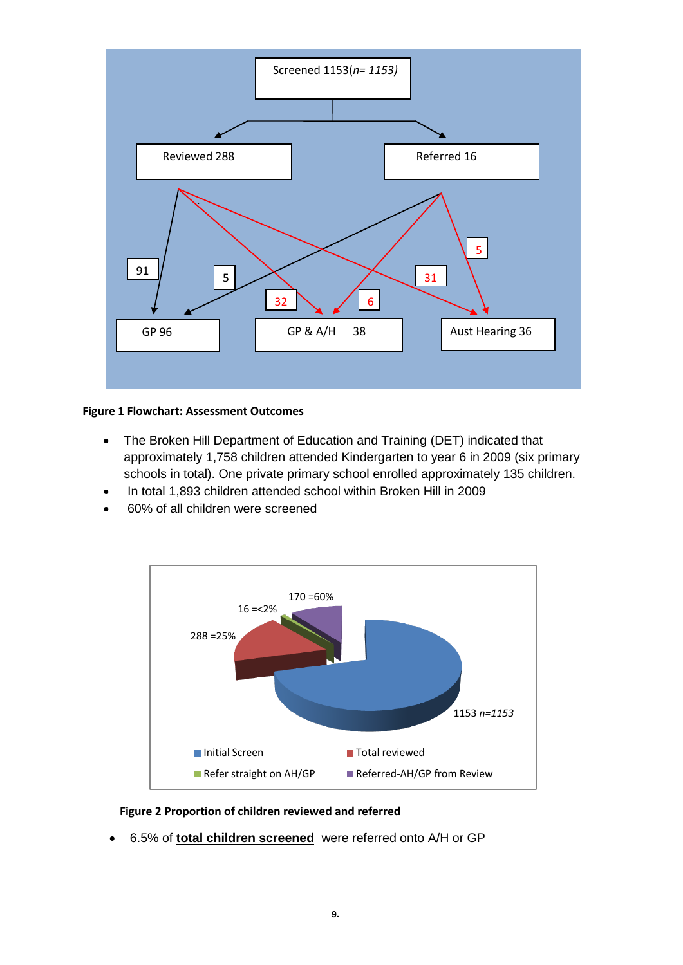

#### **Figure 1 Flowchart: Assessment Outcomes**

- The Broken Hill Department of Education and Training (DET) indicated that approximately 1,758 children attended Kindergarten to year 6 in 2009 (six primary schools in total). One private primary school enrolled approximately 135 children.
- In total 1,893 children attended school within Broken Hill in 2009
- 60% of all children were screened



#### **Figure 2 Proportion of children reviewed and referred**

6.5% of **total children screened** were referred onto A/H or GP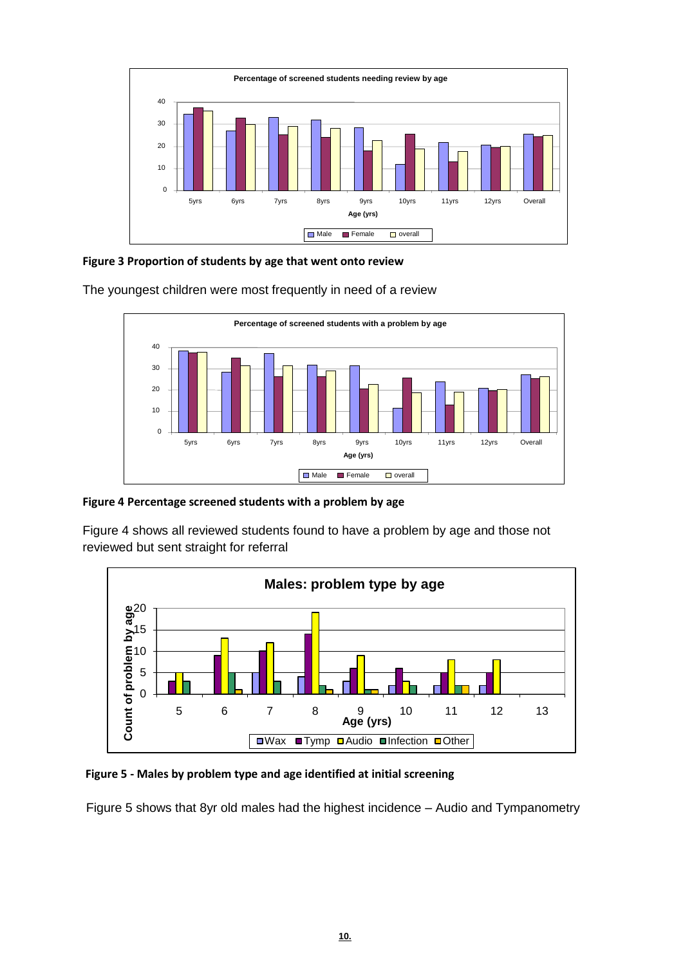

**Figure 3 Proportion of students by age that went onto review**

The youngest children were most frequently in need of a review



**Figure 4 Percentage screened students with a problem by age**

Figure 4 shows all reviewed students found to have a problem by age and those not reviewed but sent straight for referral



#### **Figure 5 - Males by problem type and age identified at initial screening**

Figure 5 shows that 8yr old males had the highest incidence – Audio and Tympanometry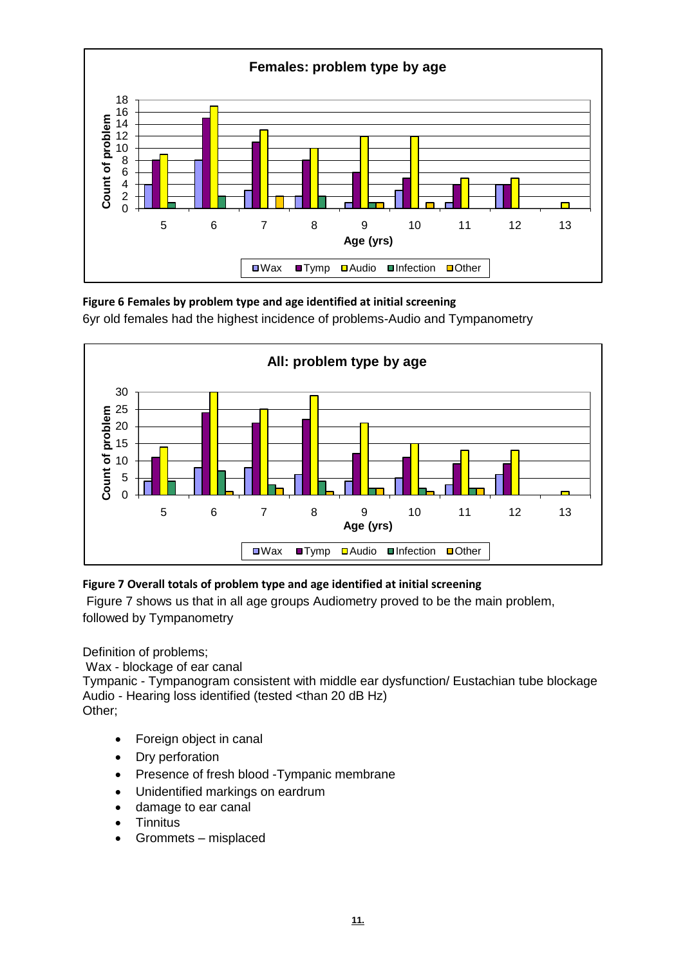

**Figure 6 Females by problem type and age identified at initial screening** 6yr old females had the highest incidence of problems-Audio and Tympanometry



#### **Figure 7 Overall totals of problem type and age identified at initial screening**

Figure 7 shows us that in all age groups Audiometry proved to be the main problem, followed by Tympanometry

Definition of problems;

Wax - blockage of ear canal

Tympanic - Tympanogram consistent with middle ear dysfunction/ Eustachian tube blockage Audio - Hearing loss identified (tested <than 20 dB Hz) Other;

- Foreign object in canal
- Dry perforation
- Presence of fresh blood -Tympanic membrane
- Unidentified markings on eardrum
- damage to ear canal
- **Tinnitus**
- Grommets misplaced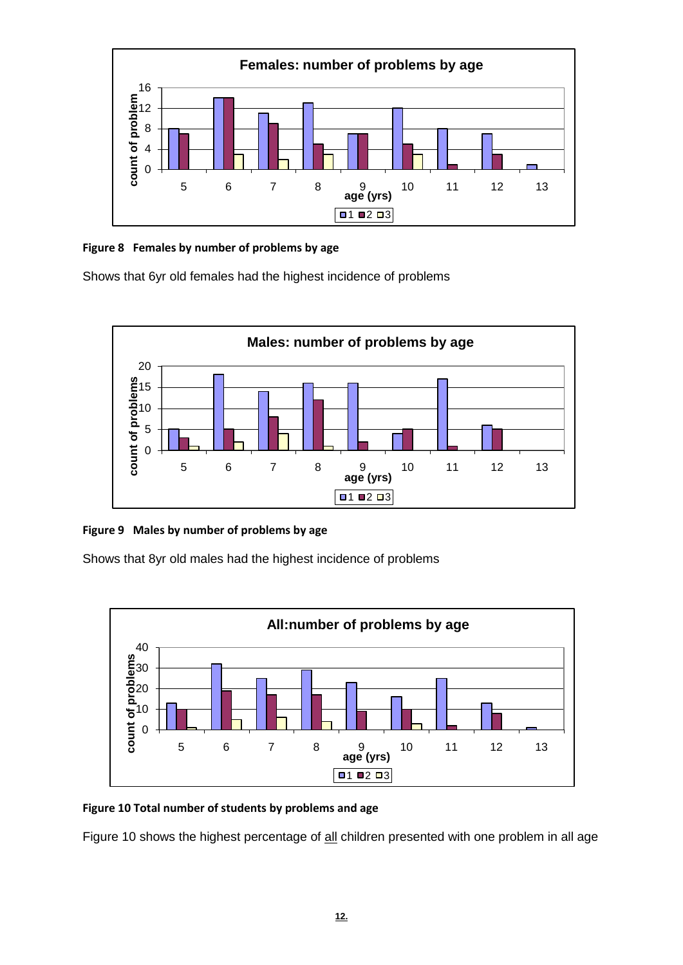

#### **Figure 8 Females by number of problems by age**

Shows that 6yr old females had the highest incidence of problems



#### **Figure 9 Males by number of problems by age**

Shows that 8yr old males had the highest incidence of problems



#### **Figure 10 Total number of students by problems and age**

Figure 10 shows the highest percentage of all children presented with one problem in all age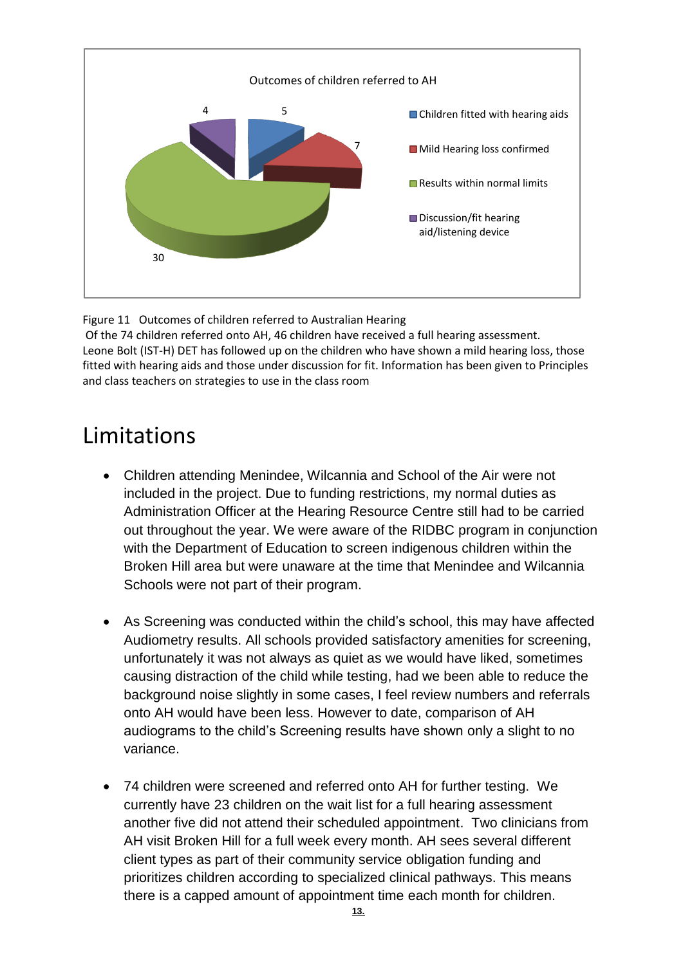

Figure 11 Outcomes of children referred to Australian Hearing

Of the 74 children referred onto AH, 46 children have received a full hearing assessment. Leone Bolt (IST-H) DET has followed up on the children who have shown a mild hearing loss, those fitted with hearing aids and those under discussion for fit. Information has been given to Principles and class teachers on strategies to use in the class room

### Limitations

- Children attending Menindee, Wilcannia and School of the Air were not included in the project. Due to funding restrictions, my normal duties as Administration Officer at the Hearing Resource Centre still had to be carried out throughout the year. We were aware of the RIDBC program in conjunction with the Department of Education to screen indigenous children within the Broken Hill area but were unaware at the time that Menindee and Wilcannia Schools were not part of their program.
- As Screening was conducted within the child's school, this may have affected Audiometry results. All schools provided satisfactory amenities for screening, unfortunately it was not always as quiet as we would have liked, sometimes causing distraction of the child while testing, had we been able to reduce the background noise slightly in some cases, I feel review numbers and referrals onto AH would have been less. However to date, comparison of AH audiograms to the child's Screening results have shown only a slight to no variance.
- 74 children were screened and referred onto AH for further testing. We currently have 23 children on the wait list for a full hearing assessment another five did not attend their scheduled appointment. Two clinicians from AH visit Broken Hill for a full week every month. AH sees several different client types as part of their community service obligation funding and prioritizes children according to specialized clinical pathways. This means there is a capped amount of appointment time each month for children. **13.**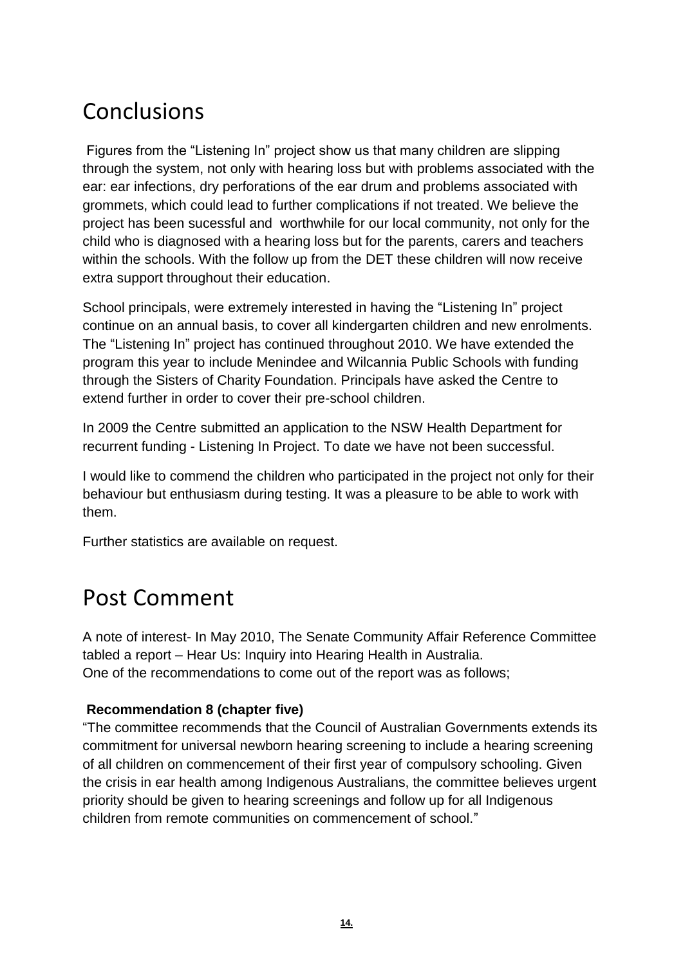### Conclusions

Figures from the "Listening In" project show us that many children are slipping through the system, not only with hearing loss but with problems associated with the ear: ear infections, dry perforations of the ear drum and problems associated with grommets, which could lead to further complications if not treated. We believe the project has been sucessful and worthwhile for our local community, not only for the child who is diagnosed with a hearing loss but for the parents, carers and teachers within the schools. With the follow up from the DET these children will now receive extra support throughout their education.

School principals, were extremely interested in having the "Listening In" project continue on an annual basis, to cover all kindergarten children and new enrolments. The "Listening In" project has continued throughout 2010. We have extended the program this year to include Menindee and Wilcannia Public Schools with funding through the Sisters of Charity Foundation. Principals have asked the Centre to extend further in order to cover their pre-school children.

In 2009 the Centre submitted an application to the NSW Health Department for recurrent funding - Listening In Project. To date we have not been successful.

I would like to commend the children who participated in the project not only for their behaviour but enthusiasm during testing. It was a pleasure to be able to work with them.

Further statistics are available on request.

### Post Comment

A note of interest- In May 2010, The Senate Community Affair Reference Committee tabled a report – Hear Us: Inquiry into Hearing Health in Australia. One of the recommendations to come out of the report was as follows;

#### **Recommendation 8 (chapter five)**

"The committee recommends that the Council of Australian Governments extends its commitment for universal newborn hearing screening to include a hearing screening of all children on commencement of their first year of compulsory schooling. Given the crisis in ear health among Indigenous Australians, the committee believes urgent priority should be given to hearing screenings and follow up for all Indigenous children from remote communities on commencement of school."